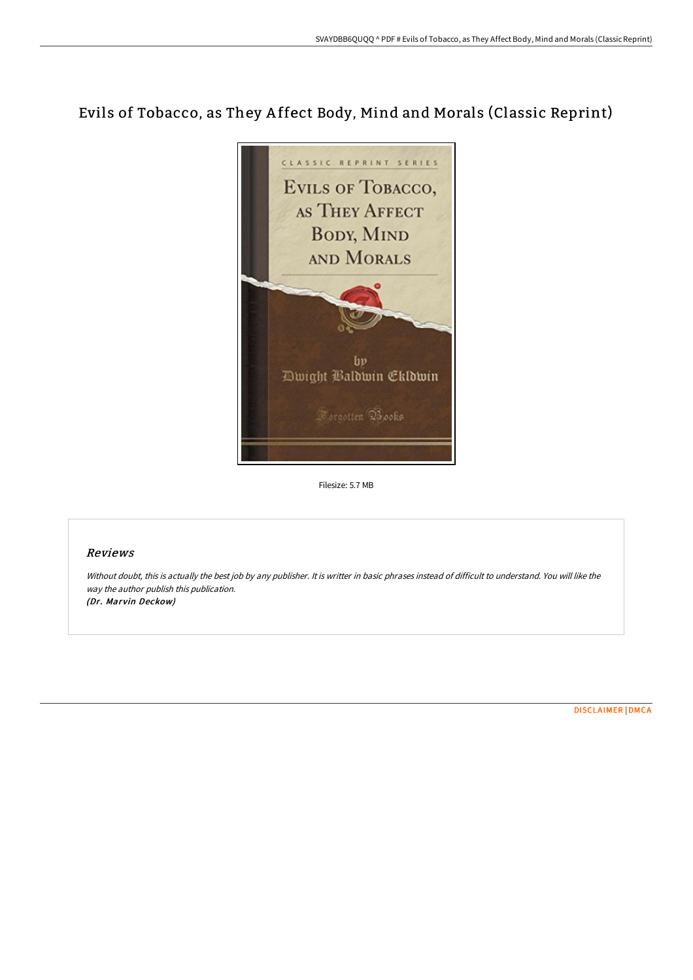## Evils of Tobacco, as They A ffect Body, Mind and Morals (Classic Reprint)



Filesize: 5.7 MB

## Reviews

Without doubt, this is actually the best job by any publisher. It is writter in basic phrases instead of difficult to understand. You will like the way the author publish this publication. (Dr. Marvin Deckow)

[DISCLAIMER](http://albedo.media/disclaimer.html) | [DMCA](http://albedo.media/dmca.html)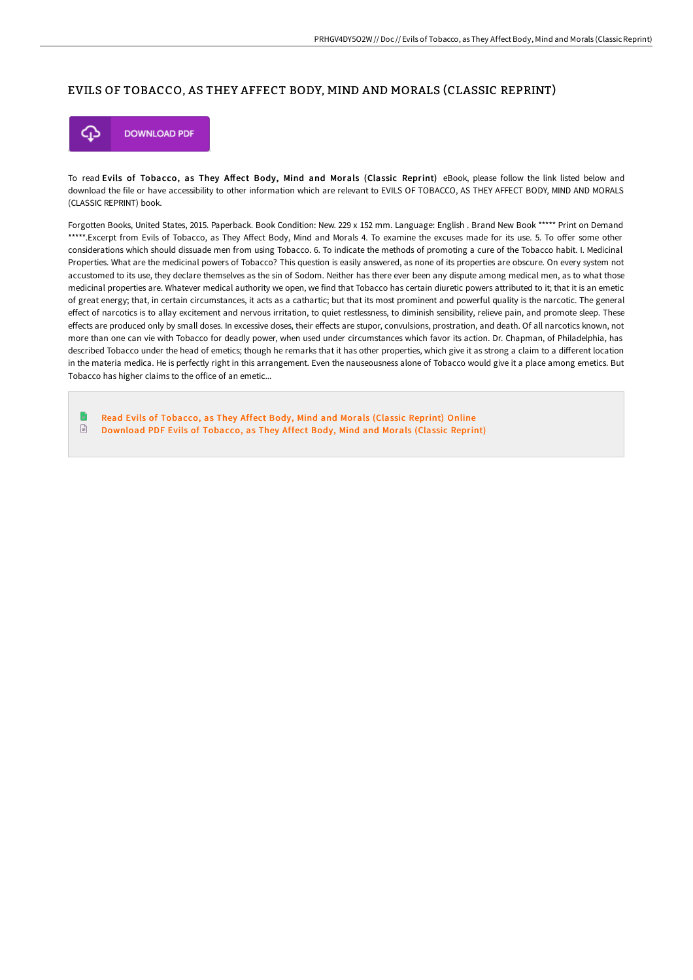## EVILS OF TOBACCO, AS THEY AFFECT BODY, MIND AND MORALS (CLASSIC REPRINT)



To read Evils of Tobacco, as They Affect Body, Mind and Morals (Classic Reprint) eBook, please follow the link listed below and download the file or have accessibility to other information which are relevant to EVILS OF TOBACCO, AS THEY AFFECT BODY, MIND AND MORALS (CLASSIC REPRINT) book.

Forgotten Books, United States, 2015. Paperback. Book Condition: New. 229 x 152 mm. Language: English . Brand New Book \*\*\*\*\* Print on Demand \*\*\*\*\*.Excerpt from Evils of Tobacco, as They Affect Body, Mind and Morals 4. To examine the excuses made for its use. 5. To offer some other considerations which should dissuade men from using Tobacco. 6. To indicate the methods of promoting a cure of the Tobacco habit. I. Medicinal Properties. What are the medicinal powers of Tobacco? This question is easily answered, as none of its properties are obscure. On every system not accustomed to its use, they declare themselves as the sin of Sodom. Neither has there ever been any dispute among medical men, as to what those medicinal properties are. Whatever medical authority we open, we find that Tobacco has certain diuretic powers attributed to it; that it is an emetic of great energy; that, in certain circumstances, it acts as a cathartic; but that its most prominent and powerful quality is the narcotic. The general effect of narcotics is to allay excitement and nervous irritation, to quiet restlessness, to diminish sensibility, relieve pain, and promote sleep. These effects are produced only by small doses. In excessive doses, their effects are stupor, convulsions, prostration, and death. Of all narcotics known, not more than one can vie with Tobacco for deadly power, when used under circumstances which favor its action. Dr. Chapman, of Philadelphia, has described Tobacco under the head of emetics; though he remarks that it has other properties, which give it as strong a claim to a different location in the materia medica. He is perfectly right in this arrangement. Even the nauseousness alone of Tobacco would give it a place among emetics. But Tobacco has higher claims to the office of an emetic...

n Read Evils of [Tobacco,](http://albedo.media/evils-of-tobacco-as-they-affect-body-mind-and-mo.html) as They Affect Body, Mind and Morals (Classic Reprint) Online  $\ensuremath{\mathop{\boxplus}}$ [Download](http://albedo.media/evils-of-tobacco-as-they-affect-body-mind-and-mo.html) PDF Evils of Tobacco, as They Affect Body, Mind and Morals (Classic Reprint)